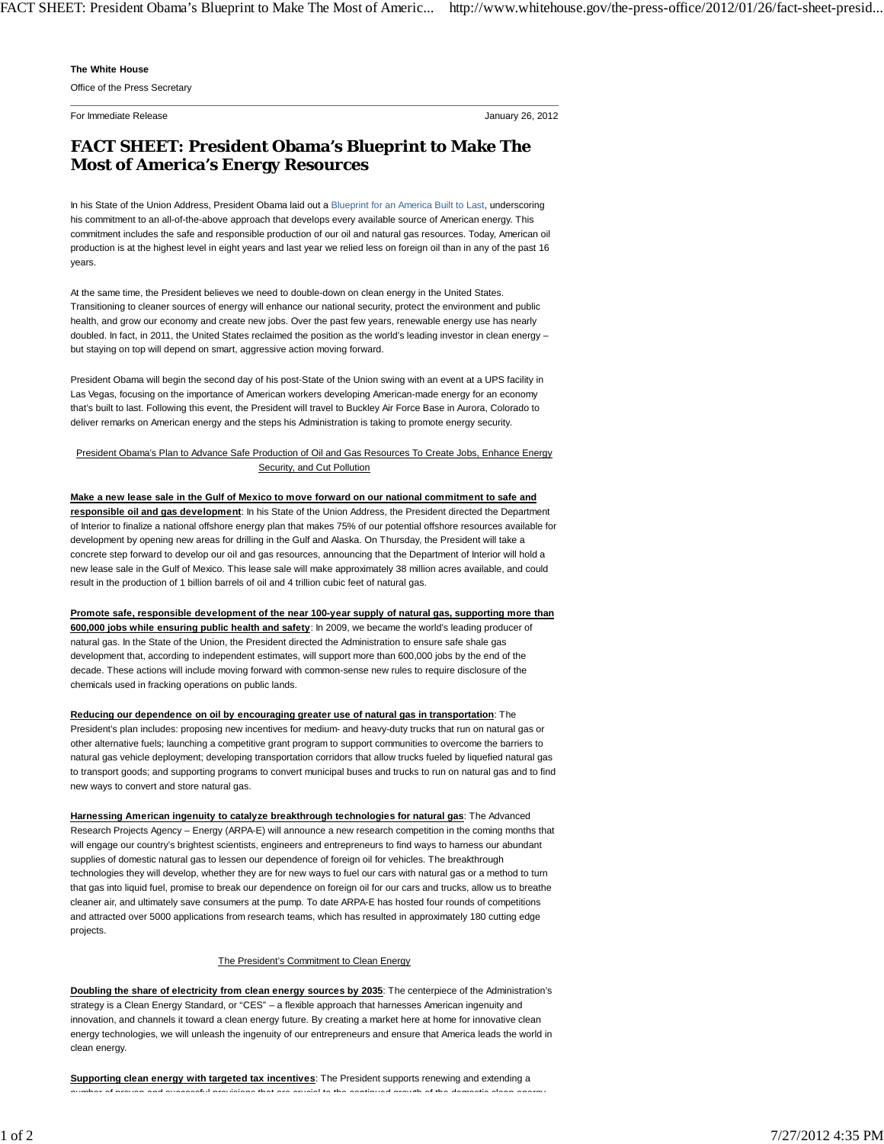## **The White House**

Office of the Press Secretary

For Immediate Release January 26, 2012

## **FACT SHEET: President Obama's Blueprint to Make The Most of America's Energy Resources**

In his State of the Union Address, President Obama laid out a Blueprint for an America Built to Last, underscoring his commitment to an all-of-the-above approach that develops every available source of American energy. This commitment includes the safe and responsible production of our oil and natural gas resources. Today, American oil production is at the highest level in eight years and last year we relied less on foreign oil than in any of the past 16 years.

At the same time, the President believes we need to double-down on clean energy in the United States. Transitioning to cleaner sources of energy will enhance our national security, protect the environment and public health, and grow our economy and create new jobs. Over the past few years, renewable energy use has nearly doubled. In fact, in 2011, the United States reclaimed the position as the world's leading investor in clean energy but staying on top will depend on smart, aggressive action moving forward.

President Obama will begin the second day of his post-State of the Union swing with an event at a UPS facility in Las Vegas, focusing on the importance of American workers developing American-made energy for an economy that's built to last. Following this event, the President will travel to Buckley Air Force Base in Aurora, Colorado to deliver remarks on American energy and the steps his Administration is taking to promote energy security.

## President Obama's Plan to Advance Safe Production of Oil and Gas Resources To Create Jobs, Enhance Energy Security, and Cut Pollution

**Make a new lease sale in the Gulf of Mexico to move forward on our national commitment to safe and responsible oil and gas development**: In his State of the Union Address, the President directed the Department of Interior to finalize a national offshore energy plan that makes 75% of our potential offshore resources available for development by opening new areas for drilling in the Gulf and Alaska. On Thursday, the President will take a concrete step forward to develop our oil and gas resources, announcing that the Department of Interior will hold a new lease sale in the Gulf of Mexico. This lease sale will make approximately 38 million acres available, and could result in the production of 1 billion barrels of oil and 4 trillion cubic feet of natural gas.

**Promote safe, responsible development of the near 100-year supply of natural gas, supporting more than 600,000 jobs while ensuring public health and safety**: In 2009, we became the world's leading producer of natural gas. In the State of the Union, the President directed the Administration to ensure safe shale gas development that, according to independent estimates, will support more than 600,000 jobs by the end of the decade. These actions will include moving forward with common-sense new rules to require disclosure of the chemicals used in fracking operations on public lands.

**Reducing our dependence on oil by encouraging greater use of natural gas in transportation**: The President's plan includes: proposing new incentives for medium- and heavy-duty trucks that run on natural gas or other alternative fuels; launching a competitive grant program to support communities to overcome the barriers to natural gas vehicle deployment; developing transportation corridors that allow trucks fueled by liquefied natural gas to transport goods; and supporting programs to convert municipal buses and trucks to run on natural gas and to find new ways to convert and store natural gas.

**Harnessing American ingenuity to catalyze breakthrough technologies for natural gas**: The Advanced Research Projects Agency – Energy (ARPA-E) will announce a new research competition in the coming months that will engage our country's brightest scientists, engineers and entrepreneurs to find ways to harness our abundant supplies of domestic natural gas to lessen our dependence of foreign oil for vehicles. The breakthrough technologies they will develop, whether they are for new ways to fuel our cars with natural gas or a method to turn that gas into liquid fuel, promise to break our dependence on foreign oil for our cars and trucks, allow us to breathe cleaner air, and ultimately save consumers at the pump. To date ARPA-E has hosted four rounds of competitions and attracted over 5000 applications from research teams, which has resulted in approximately 180 cutting edge projects.

## The President's Commitment to Clean Energy

**Doubling the share of electricity from clean energy sources by 2035**: The centerpiece of the Administration's strategy is a Clean Energy Standard, or "CES" – a flexible approach that harnesses American ingenuity and innovation, and channels it toward a clean energy future. By creating a market here at home for innovative clean energy technologies, we will unleash the ingenuity of our entrepreneurs and ensure that America leads the world in clean energy.

**Supporting clean energy with targeted tax incentives**: The President supports renewing and extending a number of proven and successful provisions that are crucial to the continued growth of the domestic clean energy